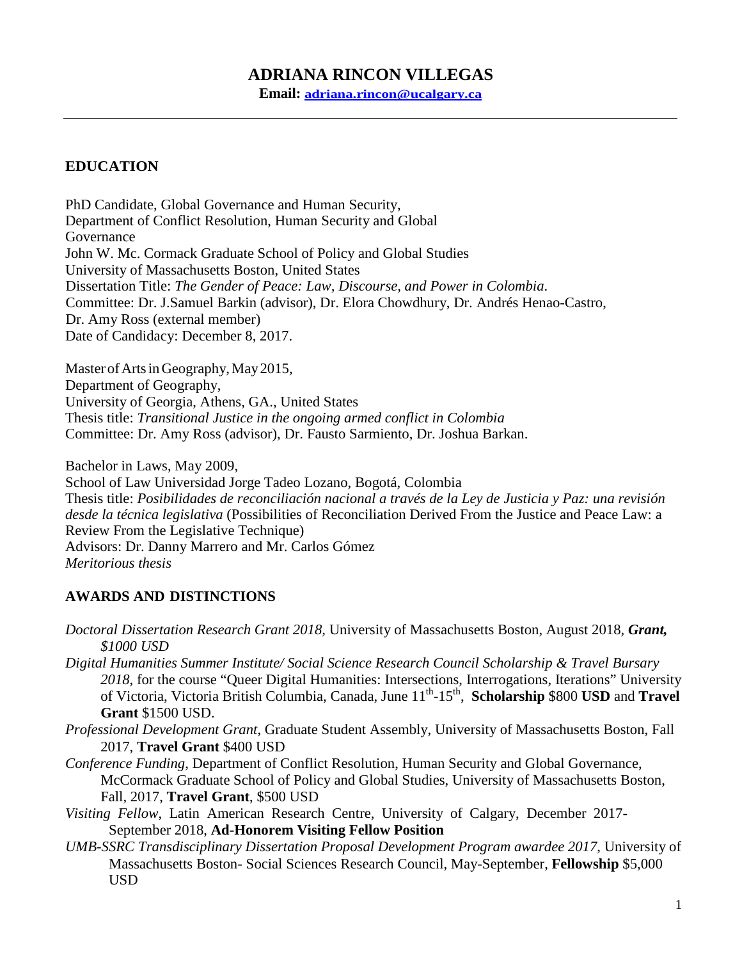# **ADRIANA RINCON VILLEGAS**

**Email: [adriana.rincon@ucalgary.ca](mailto:adriana.rincon@ucalgary.ca)**

# **EDUCATION**

PhD Candidate, Global Governance and Human Security, Department of Conflict Resolution, Human Security and Global Governance John W. Mc. Cormack Graduate School of Policy and Global Studies University of Massachusetts Boston, United States Dissertation Title: *The Gender of Peace: Law, Discourse, and Power in Colombia*. Committee: Dr. J.Samuel Barkin (advisor), Dr. Elora Chowdhury, Dr. Andrés Henao-Castro, Dr. Amy Ross (external member) Date of Candidacy: December 8, 2017.

Master of Arts in Geography, May 2015, Department of Geography, University of Georgia, Athens, GA., United States Thesis title: *Transitional Justice in the ongoing armed conflict in Colombia* Committee: Dr. Amy Ross (advisor), Dr. Fausto Sarmiento, Dr. Joshua Barkan.

Bachelor in Laws, May 2009, School of Law Universidad Jorge Tadeo Lozano, Bogotá, Colombia Thesis title: *Posibilidades de reconciliación nacional a través de la Ley de Justicia y Paz: una revisión desde la técnica legislativa* (Possibilities of Reconciliation Derived From the Justice and Peace Law: a Review From the Legislative Technique) Advisors: Dr. Danny Marrero and Mr. Carlos Gómez *Meritorious thesis*

## **AWARDS AND DISTINCTIONS**

- *Doctoral Dissertation Research Grant 2018,* University of Massachusetts Boston, August 2018*, Grant, \$1000 USD*
- *Digital Humanities Summer Institute/ Social Science Research Council Scholarship & Travel Bursary 2018,* for the course "Queer Digital Humanities: Intersections, Interrogations, Iterations" University of Victoria, Victoria British Columbia, Canada, June  $11^{th}$ -15<sup>th</sup>, Scholarship \$800 USD and Travel **Grant** \$1500 USD.
- *Professional Development Grant*, Graduate Student Assembly, University of Massachusetts Boston, Fall 2017, **Travel Grant** \$400 USD
- *Conference Funding*, Department of Conflict Resolution, Human Security and Global Governance, McCormack Graduate School of Policy and Global Studies, University of Massachusetts Boston, Fall, 2017, **Travel Grant**, \$500 USD
- *Visiting Fellow*, Latin American Research Centre, University of Calgary, December 2017- September 2018, **Ad-Honorem Visiting Fellow Position**
- *UMB-SSRC Transdisciplinary Dissertation Proposal Development Program awardee 2017*, University of Massachusetts Boston- Social Sciences Research Council, May-September, **Fellowship** \$5,000 USD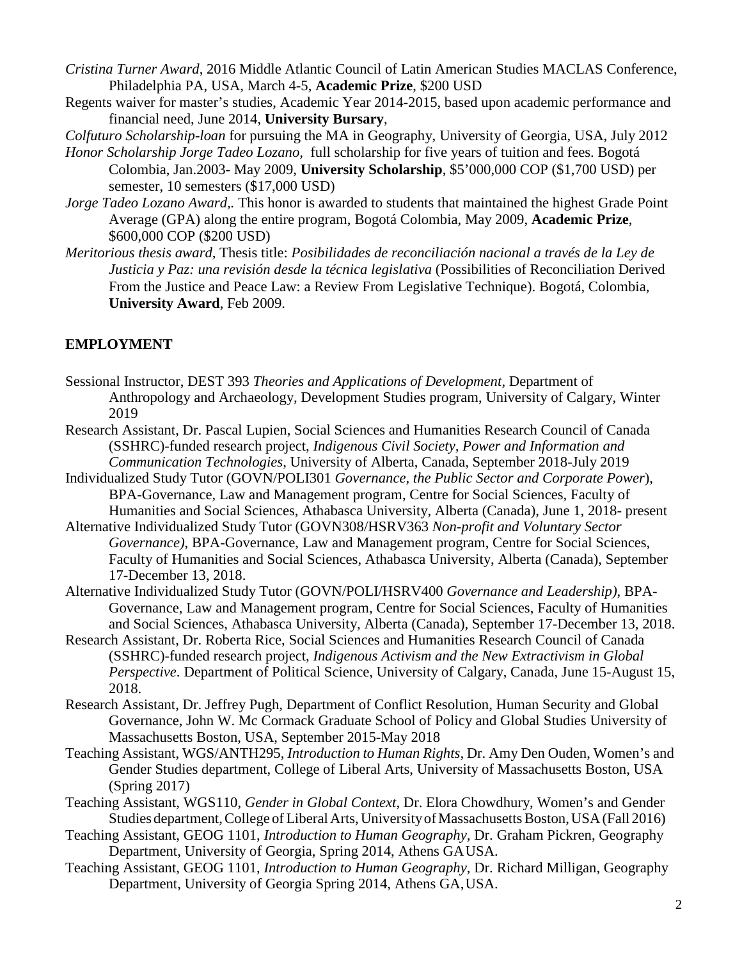- *Cristina Turner Award*, 2016 Middle Atlantic Council of Latin American Studies MACLAS Conference, Philadelphia PA, USA, March 4-5, **Academic Prize**, \$200 USD
- Regents waiver for master's studies, Academic Year 2014-2015, based upon academic performance and financial need, June 2014, **University Bursary**,

*Colfuturo Scholarship-loan* for pursuing the MA in Geography, University of Georgia, USA, July 2012

- *Honor Scholarship Jorge Tadeo Lozano,* full scholarship for five years of tuition and fees. Bogotá Colombia, Jan.2003- May 2009, **University Scholarship**, \$5'000,000 COP (\$1,700 USD) per semester, 10 semesters (\$17,000 USD)
- *Jorge Tadeo Lozano Award,.* This honor is awarded to students that maintained the highest Grade Point Average (GPA) along the entire program, Bogotá Colombia, May 2009, **Academic Prize**, \$600,000 COP (\$200 USD)
- *Meritorious thesis award,* Thesis title: *Posibilidades de reconciliación nacional a través de la Ley de Justicia y Paz: una revisión desde la técnica legislativa* (Possibilities of Reconciliation Derived From the Justice and Peace Law: a Review From Legislative Technique). Bogotá, Colombia, **University Award**, Feb 2009.

## **EMPLOYMENT**

- Sessional Instructor, DEST 393 *Theories and Applications of Development,* Department of Anthropology and Archaeology, Development Studies program, University of Calgary, Winter 2019
- Research Assistant, Dr. Pascal Lupien, Social Sciences and Humanities Research Council of Canada (SSHRC)-funded research project, *Indigenous Civil Society, Power and Information and Communication Technologies*, University of Alberta, Canada, September 2018-July 2019
- Individualized Study Tutor (GOVN/POLI301 *Governance, the Public Sector and Corporate Power*), BPA-Governance, Law and Management program, Centre for Social Sciences, Faculty of Humanities and Social Sciences, Athabasca University, Alberta (Canada), June 1, 2018- present
- Alternative Individualized Study Tutor (GOVN308/HSRV363 *Non-profit and Voluntary Sector Governance)*, BPA-Governance, Law and Management program, Centre for Social Sciences, Faculty of Humanities and Social Sciences, Athabasca University, Alberta (Canada), September 17-December 13, 2018.
- Alternative Individualized Study Tutor (GOVN/POLI/HSRV400 *Governance and Leadership)*, BPA-Governance, Law and Management program, Centre for Social Sciences, Faculty of Humanities and Social Sciences, Athabasca University, Alberta (Canada), September 17-December 13, 2018.
- Research Assistant, Dr. Roberta Rice, Social Sciences and Humanities Research Council of Canada (SSHRC)-funded research project, *Indigenous Activism and the New Extractivism in Global Perspective*. Department of Political Science, University of Calgary, Canada, June 15-August 15, 2018.
- Research Assistant, Dr. Jeffrey Pugh, Department of Conflict Resolution, Human Security and Global Governance, John W. Mc Cormack Graduate School of Policy and Global Studies University of Massachusetts Boston, USA, September 2015-May 2018
- Teaching Assistant, WGS/ANTH295, *Introduction to Human Rights,* Dr. Amy Den Ouden, Women's and Gender Studies department, College of Liberal Arts, University of Massachusetts Boston, USA (Spring 2017)
- Teaching Assistant, WGS110, *Gender in Global Context,* Dr. Elora Chowdhury, Women's and Gender Studies department, College of Liberal Arts, University of Massachusetts Boston, USA (Fall 2016)
- Teaching Assistant, GEOG 1101, *Introduction to Human Geography,* Dr. Graham Pickren, Geography Department, University of Georgia, Spring 2014, Athens GAUSA.
- Teaching Assistant, GEOG 1101, *Introduction to Human Geography*, Dr. Richard Milligan, Geography Department, University of Georgia Spring 2014, Athens GA,USA.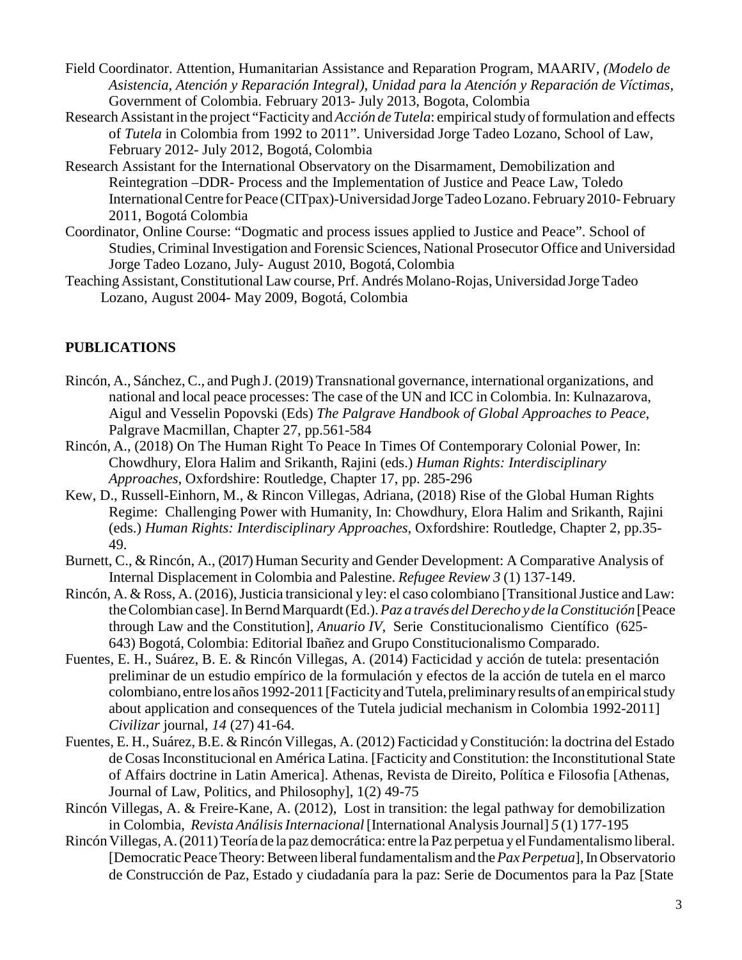- Field Coordinator. Attention, Humanitarian Assistance and Reparation Program, MAARIV, *(Modelo de Asistencia, Atención y Reparación Integral), Unidad para la Atención y Reparación de Víctimas,* Government of Colombia. February 2013- July 2013, Bogota, Colombia
- Research Assistant in the project "Facticity and *Acción de Tutela*: empirical study of formulation and effects of *Tutela* in Colombia from 1992 to 2011". Universidad Jorge Tadeo Lozano, School of Law, February 2012- July 2012, Bogotá, Colombia
- Research Assistant for the International Observatory on the Disarmament, Demobilization and Reintegration –DDR- Process and the Implementation of Justice and Peace Law, Toledo InternationalCentre forPeace (CITpax)-Universidad JorgeTadeoLozano. February2010-February 2011, Bogotá Colombia
- Coordinator, Online Course: "Dogmatic and process issues applied to Justice and Peace". School of Studies, Criminal Investigation and Forensic Sciences, National Prosecutor Office and Universidad Jorge Tadeo Lozano, July- August 2010, Bogotá,Colombia
- Teaching Assistant,Constitutional Law course, Prf. Andrés Molano-Rojas, Universidad Jorge Tadeo Lozano, August 2004- May 2009, Bogotá, Colombia

## **PUBLICATIONS**

- Rincón, A., Sánchez, C., and Pugh J. (2019) Transnational governance, international organizations, and national and local peace processes: The case of the UN and ICC in Colombia. In: Kulnazarova, Aigul and Vesselin Popovski (Eds) *The Palgrave Handbook of Global Approaches to Peace*, Palgrave Macmillan, Chapter 27, pp.561-584
- Rincón, A., (2018) On The Human Right To Peace In Times Of Contemporary Colonial Power, In: Chowdhury, Elora Halim and Srikanth, Rajini (eds.) *Human Rights: Interdisciplinary Approaches*, Oxfordshire: Routledge, Chapter 17, pp. 285-296
- Kew, D., Russell-Einhorn, M., & Rincon Villegas, Adriana, (2018) Rise of the Global Human Rights Regime: Challenging Power with Humanity, In: Chowdhury, Elora Halim and Srikanth, Rajini (eds.) *Human Rights: Interdisciplinary Approaches*, Oxfordshire: Routledge, Chapter 2, pp.35- 49.
- Burnett, C., & Rincón, A., (2017) Human Security and Gender Development: A Comparative Analysis of Internal Displacement in Colombia and Palestine. *Refugee Review 3* (1) 137-149.
- Rincón, A. & Ross, A. (2016), Justicia transicional y ley: el caso colombiano [Transitional Justice and Law: theColombian case].InBerndMarquardt(Ed.).*Paz a través delDerecho y de laConstitución* [Peace through Law and the Constitution]*, Anuario IV*, Serie Constitucionalismo Científico (625- 643) Bogotá, Colombia: Editorial Ibañez and Grupo Constitucionalismo Comparado.
- Fuentes, E. H., Suárez, B. E. & Rincón Villegas, A. (2014) Facticidad y acción de tutela: presentación preliminar de un estudio empírico de la formulación y efectos de la acción de tutela en el marco colombiano, entre los años1992-2011[FacticityandTutela,preliminaryresultsof anempiricalstudy about application and consequences of the Tutela judicial mechanism in Colombia 1992-2011] *Civilizar* journal*, 14* (27) 41-64.
- Fuentes, E. H., Suárez, B.E. & Rincón Villegas, A. (2012) Facticidad yConstitución: la doctrina del Estado de Cosas Inconstitucional en América Latina. [Facticity and Constitution: the Inconstitutional State of Affairs doctrine in Latin America]. Athenas, Revista de Direito, Política e Filosofia [Athenas, Journal of Law, Politics, and Philosophy], 1(2) 49-75
- Rincón Villegas, A. & Freire-Kane, A. (2012), Lost in transition: the legal pathway for demobilization in Colombia, *Revista AnálisisInternacional*[International AnalysisJournal] *5* (1) 177-195
- RincónVillegas,A.(2011)Teoría de la paz democrática: entre laPaz perpetua y el Fundamentalismo liberal. [DemocraticPeaceTheory:Between liberalfundamentalismand the*PaxPerpetua*],InObservatorio de Construcción de Paz, Estado y ciudadanía para la paz: Serie de Documentos para la Paz [State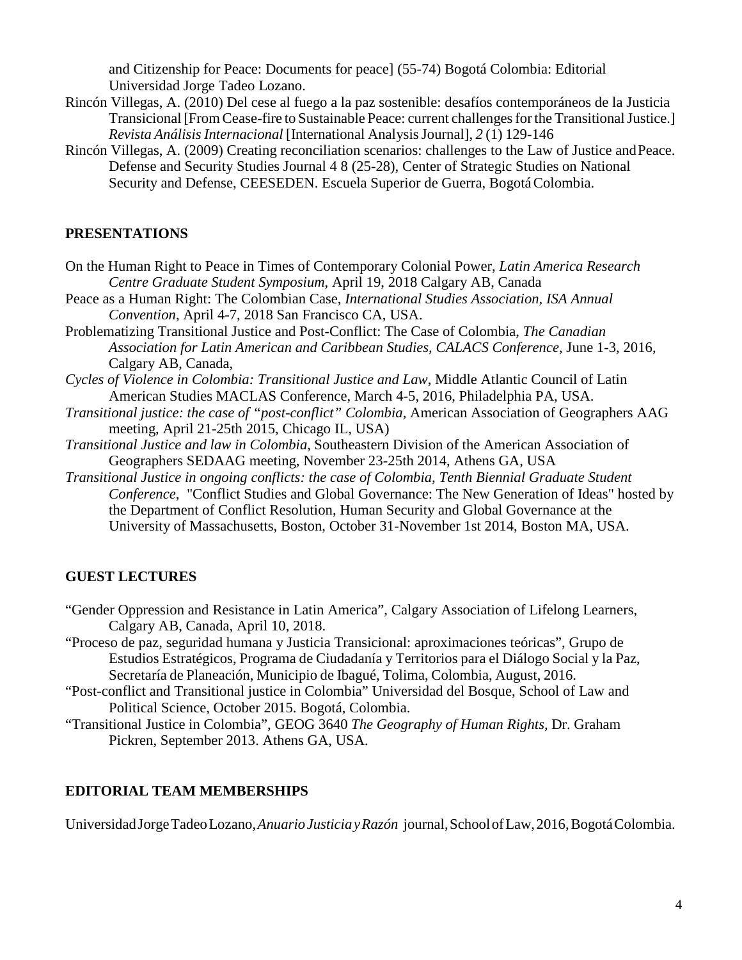and Citizenship for Peace: Documents for peace] (55-74) Bogotá Colombia: Editorial Universidad Jorge Tadeo Lozano.

- Rincón Villegas, A. (2010) Del cese al fuego a la paz sostenible: desafíos contemporáneos de la Justicia Transicional [From Cease-fire to Sustainable Peace: current challenges for the Transitional Justice.] *Revista AnálisisInternacional* [International AnalysisJournal], *2* (1) 129-146
- Rincón Villegas, A. (2009) Creating reconciliation scenarios: challenges to the Law of Justice andPeace. Defense and Security Studies Journal 4 8 (25-28), Center of Strategic Studies on National Security and Defense, CEESEDEN. Escuela Superior de Guerra, Bogotá Colombia.

#### **PRESENTATIONS**

- On the Human Right to Peace in Times of Contemporary Colonial Power, *Latin America Research Centre Graduate Student Symposium*, April 19, 2018 Calgary AB, Canada
- Peace as a Human Right: The Colombian Case, *International Studies Association, ISA Annual Convention*, April 4-7, 2018 San Francisco CA, USA.
- Problematizing Transitional Justice and Post-Conflict: The Case of Colombia, *The Canadian Association for Latin American and Caribbean Studies, CALACS Conference*, June 1-3, 2016, Calgary AB, Canada,
- *Cycles of Violence in Colombia: Transitional Justice and Law*, Middle Atlantic Council of Latin American Studies MACLAS Conference, March 4-5, 2016, Philadelphia PA, USA.
- *Transitional justice: the case of "post-conflict" Colombia,* American Association of Geographers AAG meeting, April 21-25th 2015, Chicago IL, USA)
- *Transitional Justice and law in Colombia,* Southeastern Division of the American Association of Geographers SEDAAG meeting, November 23-25th 2014, Athens GA, USA
- *Transitional Justice in ongoing conflicts: the case of Colombia, Tenth Biennial Graduate Student Conference*, "Conflict Studies and Global Governance: The New Generation of Ideas" hosted by the Department of Conflict Resolution, Human Security and Global Governance at the University of Massachusetts, Boston, October 31-November 1st 2014, Boston MA, USA.

## **GUEST LECTURES**

- "Gender Oppression and Resistance in Latin America", Calgary Association of Lifelong Learners, Calgary AB, Canada, April 10, 2018.
- "Proceso de paz, seguridad humana y Justicia Transicional: aproximaciones teóricas", Grupo de Estudios Estratégicos, Programa de Ciudadanía y Territorios para el Diálogo Social y la Paz, Secretaría de Planeación, Municipio de Ibagué, Tolima, Colombia, August, 2016.
- "Post-conflict and Transitional justice in Colombia" Universidad del Bosque, School of Law and Political Science, October 2015. Bogotá, Colombia.
- "Transitional Justice in Colombia", GEOG 3640 *The Geography of Human Rights,* Dr. Graham Pickren, September 2013. Athens GA, USA.

#### **EDITORIAL TEAM MEMBERSHIPS**

UniversidadJorgeTadeoLozano,*AnuarioJusticiayRazón* journal,SchoolofLaw,2016,BogotáColombia.